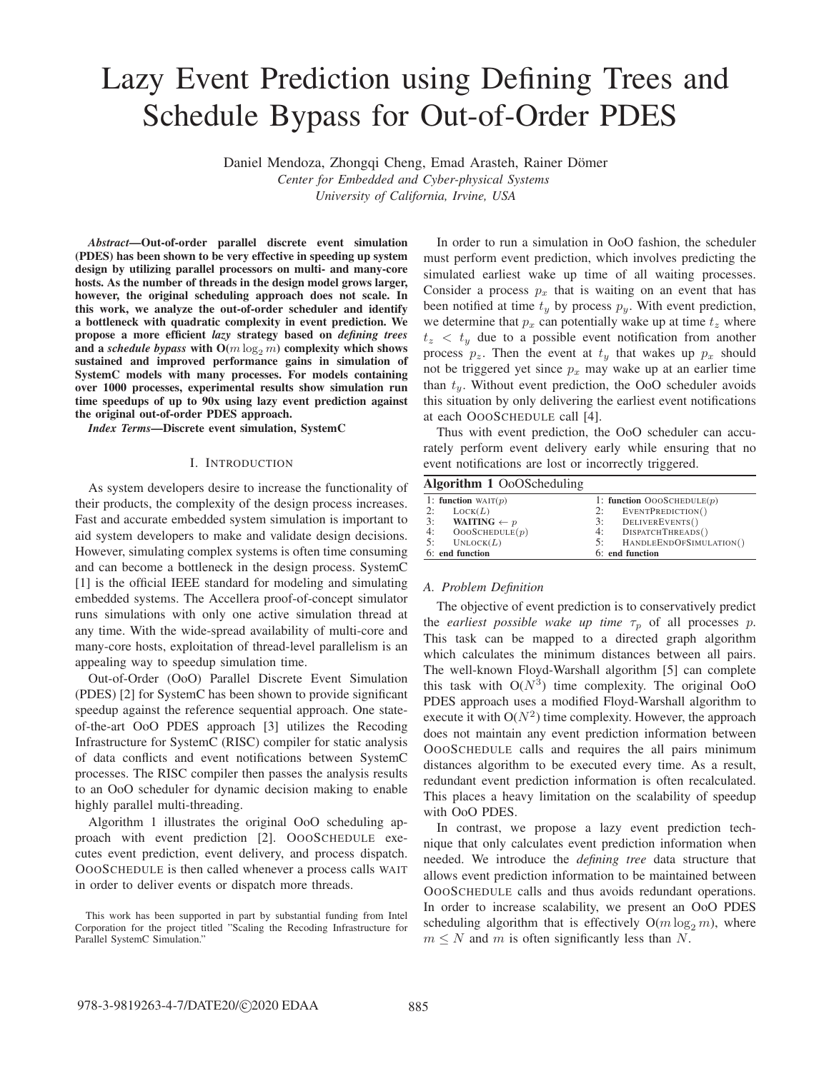# Lazy Event Prediction using Defining Trees and Schedule Bypass for Out-of-Order PDES

Daniel Mendoza, Zhongqi Cheng, Emad Arasteh, Rainer Dömer

*Center for Embedded and Cyber-physical Systems*

*University of California, Irvine, USA*

*Abstract*—Out-of-order parallel discrete event simulation (PDES) has been shown to be very effective in speeding up system design by utilizing parallel processors on multi- and many-core hosts. As the number of threads in the design model grows larger, however, the original scheduling approach does not scale. In this work, we analyze the out-of-order scheduler and identify a bottleneck with quadratic complexity in event prediction. We propose a more efficient *lazy* strategy based on *defining trees* and a *schedule bypass* with  $O(m \log_2 m)$  complexity which shows sustained and improved performance gains in simulation of SystemC models with many processes. For models containing over 1000 processes, experimental results show simulation run time speedups of up to 90x using lazy event prediction against the original out-of-order PDES approach.

*Index Terms*—Discrete event simulation, SystemC

#### I. INTRODUCTION

As system developers desire to increase the functionality of their products, the complexity of the design process increases. Fast and accurate embedded system simulation is important to aid system developers to make and validate design decisions. However, simulating complex systems is often time consuming and can become a bottleneck in the design process. SystemC [1] is the official IEEE standard for modeling and simulating embedded systems. The Accellera proof-of-concept simulator runs simulations with only one active simulation thread at any time. With the wide-spread availability of multi-core and many-core hosts, exploitation of thread-level parallelism is an appealing way to speedup simulation time.

Out-of-Order (OoO) Parallel Discrete Event Simulation (PDES) [2] for SystemC has been shown to provide significant speedup against the reference sequential approach. One stateof-the-art OoO PDES approach [3] utilizes the Recoding Infrastructure for SystemC (RISC) compiler for static analysis of data conflicts and event notifications between SystemC processes. The RISC compiler then passes the analysis results to an OoO scheduler for dynamic decision making to enable highly parallel multi-threading.

Algorithm 1 illustrates the original OoO scheduling approach with event prediction [2]. OOOSCHEDULE executes event prediction, event delivery, and process dispatch. OOOSCHEDULE is then called whenever a process calls WAIT in order to deliver events or dispatch more threads.

In order to run a simulation in OoO fashion, the scheduler must perform event prediction, which involves predicting the simulated earliest wake up time of all waiting processes. Consider a process  $p_x$  that is waiting on an event that has been notified at time  $t_y$  by process  $p_y$ . With event prediction, we determine that  $p_x$  can potentially wake up at time  $t_z$  where  $t<sub>z</sub> < t<sub>y</sub>$  due to a possible event notification from another process  $p_z$ . Then the event at  $t_y$  that wakes up  $p_x$  should not be triggered yet since  $p_x$  may wake up at an earlier time than  $t<sub>y</sub>$ . Without event prediction, the OoO scheduler avoids this situation by only delivering the earliest event notifications at each OOOSCHEDULE call [4].

Thus with event prediction, the OoO scheduler can accurately perform event delivery early while ensuring that no event notifications are lost or incorrectly triggered.

# Algorithm 1 OoOScheduling

|    | .                             |                               |
|----|-------------------------------|-------------------------------|
|    | 1: function $WAIT(p)$         | 1: function $OOOSCHEDULE(p)$  |
| 2: | LocK(L)                       | EVENTPREDICTION()<br>2:       |
| 3: | <b>WAITING</b> $\leftarrow p$ | DELIVEREVENTS()<br>3:         |
| 4: | OOOSCHEDULE(p)                | DISPATCHTHREADS()<br>4:       |
| 5: | UNLOCK(L)                     | HANDLEENDOFSIMULATION()<br>5: |
|    | 6: end function               | 6: end function               |

#### *A. Problem Definition*

The objective of event prediction is to conservatively predict the *earliest possible wake up time*  $\tau_p$  of all processes p. This task can be mapped to a directed graph algorithm which calculates the minimum distances between all pairs. The well-known Floyd-Warshall algorithm [5] can complete this task with  $O(N^3)$  time complexity. The original OoO PDES approach uses a modified Floyd-Warshall algorithm to execute it with  $O(N^2)$  time complexity. However, the approach does not maintain any event prediction information between OOOSCHEDULE calls and requires the all pairs minimum distances algorithm to be executed every time. As a result, redundant event prediction information is often recalculated. This places a heavy limitation on the scalability of speedup with OoO PDES.

In contrast, we propose a lazy event prediction technique that only calculates event prediction information when needed. We introduce the *defining tree* data structure that allows event prediction information to be maintained between OOOSCHEDULE calls and thus avoids redundant operations. In order to increase scalability, we present an OoO PDES scheduling algorithm that is effectively  $O(m \log_2 m)$ , where  $m \leq N$  and m is often significantly less than N.

This work has been supported in part by substantial funding from Intel Corporation for the project titled "Scaling the Recoding Infrastructure for Parallel SystemC Simulation."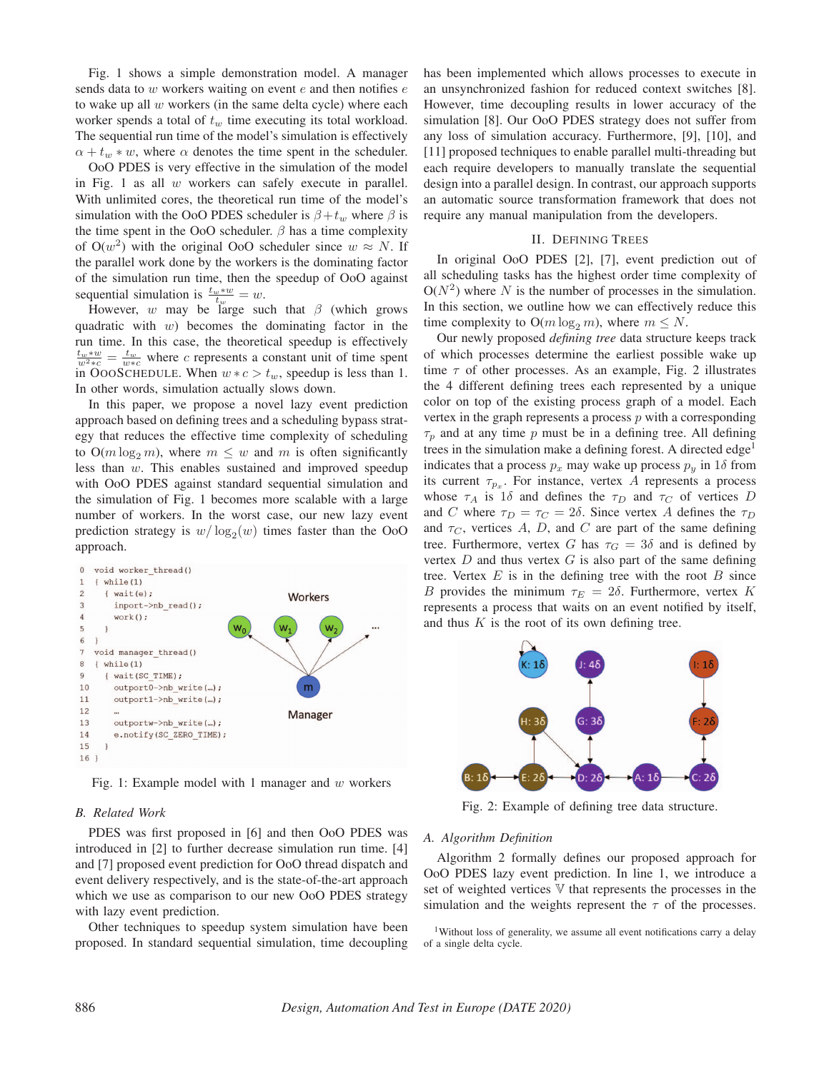Fig. 1 shows a simple demonstration model. A manager sends data to  $w$  workers waiting on event  $e$  and then notifies  $e$ to wake up all  $w$  workers (in the same delta cycle) where each worker spends a total of  $t_w$  time executing its total workload. The sequential run time of the model's simulation is effectively  $\alpha + t_w * w$ , where  $\alpha$  denotes the time spent in the scheduler.

OoO PDES is very effective in the simulation of the model in Fig. 1 as all w workers can safely execute in parallel. With unlimited cores, the theoretical run time of the model's simulation with the OoO PDES scheduler is  $\beta + t_w$  where  $\beta$  is the time spent in the OoO scheduler.  $\beta$  has a time complexity of  $O(w^2)$  with the original OoO scheduler since  $w \approx N$ . If the parallel work done by the workers is the dominating factor of the simulation run time, then the speedup of OoO against sequential simulation is  $\frac{t_w * w}{t_w} = w$ .<br>However, w may be large suggest

However, w may be large such that  $\beta$  (which grows quadratic with  $w$ ) becomes the dominating factor in the run time. In this case, the theoretical speedup is effectively  $\frac{t_w * w}{w^2 * c} = \frac{t_w}{w * c}$  where c represents a constant unit of time spent<br>in  $\Omega$ QQSCHEDULE, When  $w * c > t$  speedup is less than 1 in OOOSCHEDULE. When  $w * c > t_w$ , speedup is less than 1. In other words, simulation actually slows down.

In this paper, we propose a novel lazy event prediction approach based on defining trees and a scheduling bypass strategy that reduces the effective time complexity of scheduling to  $O(m \log_2 m)$ , where  $m \leq w$  and m is often significantly less than w. This enables sustained and improved speedup with OoO PDES against standard sequential simulation and the simulation of Fig. 1 becomes more scalable with a large number of workers. In the worst case, our new lazy event prediction strategy is  $w / \log_2(w)$  times faster than the OoO approach.



Fig. 1: Example model with 1 manager and  $w$  workers

# *B. Related Work*

PDES was first proposed in [6] and then OoO PDES was introduced in [2] to further decrease simulation run time. [4] and [7] proposed event prediction for OoO thread dispatch and event delivery respectively, and is the state-of-the-art approach which we use as comparison to our new OoO PDES strategy with lazy event prediction.

Other techniques to speedup system simulation have been proposed. In standard sequential simulation, time decoupling has been implemented which allows processes to execute in an unsynchronized fashion for reduced context switches [8]. However, time decoupling results in lower accuracy of the simulation [8]. Our OoO PDES strategy does not suffer from any loss of simulation accuracy. Furthermore, [9], [10], and [11] proposed techniques to enable parallel multi-threading but each require developers to manually translate the sequential design into a parallel design. In contrast, our approach supports an automatic source transformation framework that does not require any manual manipulation from the developers.

## II. DEFINING TREES

In original OoO PDES [2], [7], event prediction out of all scheduling tasks has the highest order time complexity of  $O(N^2)$  where N is the number of processes in the simulation. In this section, we outline how we can effectively reduce this time complexity to  $O(m \log_2 m)$ , where  $m \leq N$ .

Our newly proposed *defining tree* data structure keeps track of which processes determine the earliest possible wake up time  $\tau$  of other processes. As an example, Fig. 2 illustrates the 4 different defining trees each represented by a unique color on top of the existing process graph of a model. Each vertex in the graph represents a process  $p$  with a corresponding  $\tau_p$  and at any time p must be in a defining tree. All defining trees in the simulation make a defining forest. A directed edge<sup>1</sup> indicates that a process  $p_x$  may wake up process  $p_y$  in 1 $\delta$  from its current  $\tau_{p_x}$ . For instance, vertex A represents a process whose  $\tau_A$  is 1 $\delta$  and defines the  $\tau_D$  and  $\tau_C$  of vertices D and C where  $\tau_D = \tau_C = 2\delta$ . Since vertex A defines the  $\tau_D$ and  $\tau_C$ , vertices A, D, and C are part of the same defining tree. Furthermore, vertex G has  $\tau_G = 3\delta$  and is defined by vertex  $D$  and thus vertex  $G$  is also part of the same defining tree. Vertex  $E$  is in the defining tree with the root  $B$  since B provides the minimum  $\tau_E = 2\delta$ . Furthermore, vertex K represents a process that waits on an event notified by itself, and thus  $K$  is the root of its own defining tree.



Fig. 2: Example of defining tree data structure.

#### *A. Algorithm Definition*

Algorithm 2 formally defines our proposed approach for OoO PDES lazy event prediction. In line 1, we introduce a set of weighted vertices V that represents the processes in the simulation and the weights represent the  $\tau$  of the processes.

<sup>&</sup>lt;sup>1</sup>Without loss of generality, we assume all event notifications carry a delay of a single delta cycle.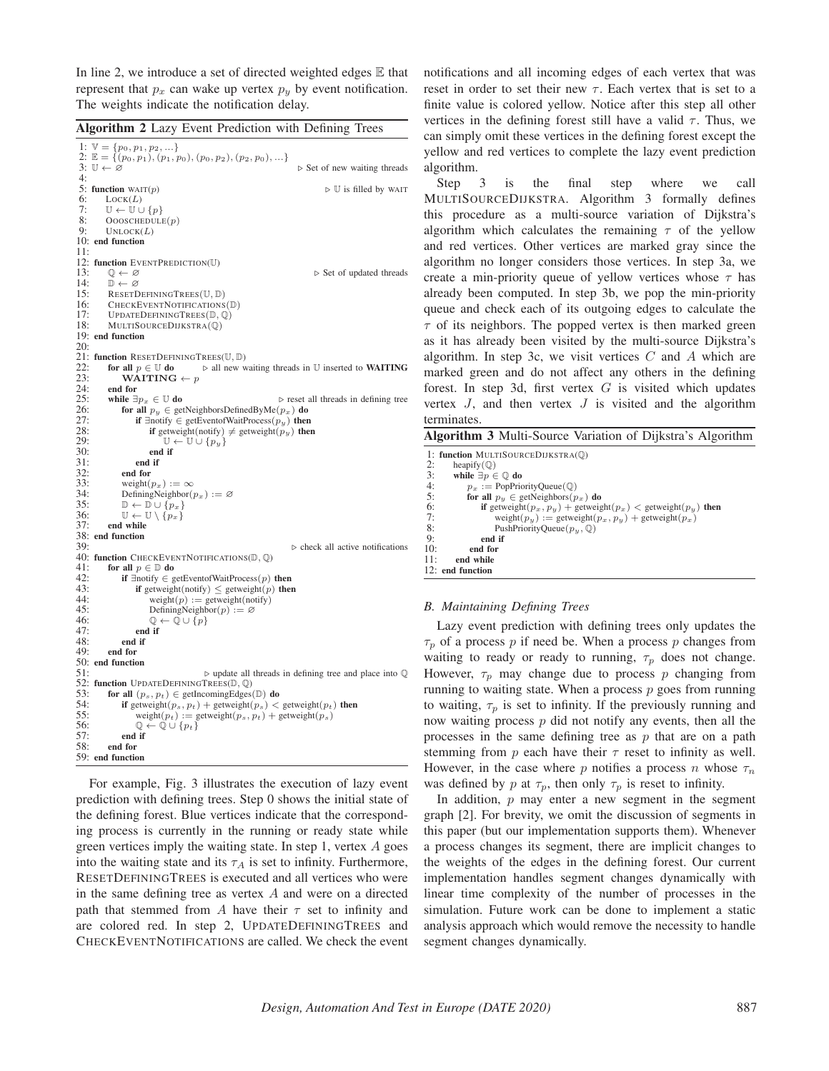In line 2, we introduce a set of directed weighted edges  $E$  that represent that  $p_x$  can wake up vertex  $p_y$  by event notification. The weights indicate the notification delay.

Algorithm 2 Lazy Event Prediction with Defining Trees

```
1: \mathbb{V} = \{p_0, p_1, p_2, \ldots\}2: \mathbb{E} = \{ (p_0, p_1), (p_1, p_0), (p_0, p_2), (p_2, p_0), \ldots \}\triangleright Set of new waiting threads
 4:
 5: function WAIT(p)<br>6: LocK(L)\triangleright U is filled by WAIT
 6: \operatorname{Lock}(L)<br>7: \mathbb{U} \leftarrow \mathbb{U} \cup7: \mathbb{U} \leftarrow \mathbb{U} \cup \{p\}<br>8: OOOSCHEDUL
 8: OOOSCHEDULE(p)UNLOCK(L)10: end function
11:
12: function EVENTPREDICTION(U)<br>13: \qquad \qquad \mathcal{Q} \leftarrow \varnothing13: \mathbb{Q} \leftarrow \varnothing \triangleright\triangleright Set of updated threads
14: \mathbb{D} \leftarrow \varnothing<br>15: RESETD
15: RESETDEFININGTREES(U, D)<br>16: CHECKEVENTNOTIFICATIONS
16: CHECKEVENTNOTIFICATIONS(D)<br>17: UPDATEDEFININGTREES(D. 0)
17: UPDATEDEFININGTREES(D, Q)<br>18: MILLTISOURCEDUKSTRA(0)
             MULTISOURCEDIJKSTRA(Q)
19: end function
2021: function RESETDEFININGTREES(U, D)<br>22: for all p \in U do \rhd all new w
22: for all p \in U do<br>23: WAITING
                                                    \rho all new waiting threads in U inserted to WAITING
23: WAITING \leftarrow p<br>24: end for
24: end for<br>25: while \exists25: while \exists p_x \in \mathbb{U} do 26: for all p_y \in \mathfrak{ge}\rhd reset all threads in defining tree
26: for all p_y \in getNeighborsDefinedByMe(p_x) do 27: if \existsnotify \in getEventofWaitProcess(p_y) then
27: if \existsnotify ∈ getEventofWaitProcess(p_y) then<br>28: if getweight(notify) \neq getweight(n<sub>a</sub>) then
28: if getweight(notify) \neq getweight(p_y) then<br>29: \mathbb{I} \leftarrow \mathbb{I} \cup \{p_y\}29: \mathbb{U} \leftarrow \mathbb{U} \cup \{p_y\}<br>30. end if
30: end if<br>31: end if
31: end if 32: end for
32: end for 33: weight
33: weight(p_x) := \infty<br>34: DefiningNeighbor(1
34: DefiningNeighbor(p_x) := \emptyset<br>35: \mathbb{D} \leftarrow \mathbb{D} \cup \{p_x\}35: \mathbb{D} \leftarrow \mathbb{D} \cup \{p_x\}<br>36: \mathbb{U} \leftarrow \mathbb{U} \setminus \{p_x\}36: \mathbb{U} \leftarrow \mathbb{U} \setminus \{p_x\}<br>37: end while
             end while
38: end function
39: -
40: function CHECKEVENTNOTIFICATIONS(D, Q)
                                                                                            \rhd check all active notifications
41: for all p \in \mathbb{D} do<br>42: if \existsnotify \in g
42: if \existsnotify \in getEventofWaitProcess(p) then<br>43: if getweight(notify) \le getweight(p) then
43: if getweight(notify) \leq getweight(p) then<br>44: weight(p) := getweight(notify)
44: weight(p) := getweight(notify)<br>45: DefiningNeighbor(p) := \varnothing45: DefiningNeighbor(p) := ∅<br>46: \mathbb{O} \leftarrow \mathbb{O} \cup \{p\}46: \mathbb{Q} \leftarrow \mathbb{Q} \cup \{p\}<br>47. end if
47: end if 48: end if
48: end if<br>49: end for
             end for
50: end function<br>51:
51: <br>
52: function UPDATEDEFININGTREES(D, Q)
                                                      \rho update all threads in defining tree and place into \mathbb Q53: for all (p_s, p_t) \in \text{getIncomingEdges}(\mathbb{D}) do<br>54: if \text{getweight}(p_s, p_t) + \text{getweight}(p_s) <54: if getweight(p_s, p_t) + getweight(p_s) < getweight(p_t) then<br>55: weight(p_t):= getweight(p_s, p_t) + getweight(p_s)<br>56: \bigcap_{s \in \mathbb{N}} \bigcup_{t \in \mathbb{N}} \bigcup_{s \in \mathbb{N}} \bigcup_{s \in \mathbb{N}} \bigcap_{s \in \mathbb{N}} \bigcup_{s \in \mathbb{N}} \bigcap_{s \in \mathbb{N}} \bigcap_{56: \mathbb{Q} \leftarrow \mathbb{Q} \cup \{p_t\}<br>57. end if
57: end if
             end for
59: end function
```
For example, Fig. 3 illustrates the execution of lazy event prediction with defining trees. Step 0 shows the initial state of the defining forest. Blue vertices indicate that the corresponding process is currently in the running or ready state while green vertices imply the waiting state. In step 1, vertex A goes into the waiting state and its  $\tau_A$  is set to infinity. Furthermore, RESETDEFININGTREES is executed and all vertices who were in the same defining tree as vertex  $A$  and were on a directed path that stemmed from A have their  $\tau$  set to infinity and are colored red. In step 2, UPDATEDEFININGTREES and CHECKEVENTNOTIFICATIONS are called. We check the event notifications and all incoming edges of each vertex that was reset in order to set their new  $\tau$ . Each vertex that is set to a finite value is colored yellow. Notice after this step all other vertices in the defining forest still have a valid  $\tau$ . Thus, we can simply omit these vertices in the defining forest except the yellow and red vertices to complete the lazy event prediction algorithm.

Step 3 is the final step where we call MULTISOURCEDIJKSTRA. Algorithm 3 formally defines this procedure as a multi-source variation of Dijkstra's algorithm which calculates the remaining  $\tau$  of the yellow and red vertices. Other vertices are marked gray since the algorithm no longer considers those vertices. In step 3a, we create a min-priority queue of yellow vertices whose  $\tau$  has already been computed. In step 3b, we pop the min-priority queue and check each of its outgoing edges to calculate the  $\tau$  of its neighbors. The popped vertex is then marked green as it has already been visited by the multi-source Dijkstra's algorithm. In step 3c, we visit vertices  $C$  and  $A$  which are marked green and do not affect any others in the defining forest. In step 3d, first vertex  $G$  is visited which updates vertex  $J$ , and then vertex  $J$  is visited and the algorithm terminates.

|     | Algorithm 3 Multi-Source Variation of Dijkstra's Algorithm             |
|-----|------------------------------------------------------------------------|
|     | 1: function MULTISOURCEDIJKSTRA(0)                                     |
| 2:  | heapify $(\mathbb{Q})$                                                 |
| 3:  | while $\exists p \in \mathbb{O}$ do                                    |
| 4:  | $p_x := \text{PopPriorityQueue}(\mathbb{Q})$                           |
| 5:  | for all $p_y \in \text{getNeighbors}(p_x)$ do                          |
| 6:  | if getweight $(p_x, p_y)$ + getweight $(p_x)$ < getweight $(p_y)$ then |
| 7:  | weight( $p_u$ ) := getweight( $p_x, p_u$ ) + getweight( $p_x$ )        |
| 8:  | PushPriorityQueue $(p_u, \mathbb{Q})$                                  |
| 9:  | end if                                                                 |
| 10: | end for                                                                |
| 11: | end while                                                              |
|     | 12: end function                                                       |
|     |                                                                        |

### *B. Maintaining Defining Trees*

Lazy event prediction with defining trees only updates the  $\tau_p$  of a process p if need be. When a process p changes from waiting to ready or ready to running,  $\tau_p$  does not change. However,  $\tau_p$  may change due to process p changing from running to waiting state. When a process  $p$  goes from running to waiting,  $\tau_p$  is set to infinity. If the previously running and now waiting process  $p$  did not notify any events, then all the processes in the same defining tree as  $p$  that are on a path stemming from  $p$  each have their  $\tau$  reset to infinity as well. However, in the case where p notifies a process n whose  $\tau_n$ was defined by p at  $\tau_p$ , then only  $\tau_p$  is reset to infinity.

In addition,  $p$  may enter a new segment in the segment graph [2]. For brevity, we omit the discussion of segments in this paper (but our implementation supports them). Whenever a process changes its segment, there are implicit changes to the weights of the edges in the defining forest. Our current implementation handles segment changes dynamically with linear time complexity of the number of processes in the simulation. Future work can be done to implement a static analysis approach which would remove the necessity to handle segment changes dynamically.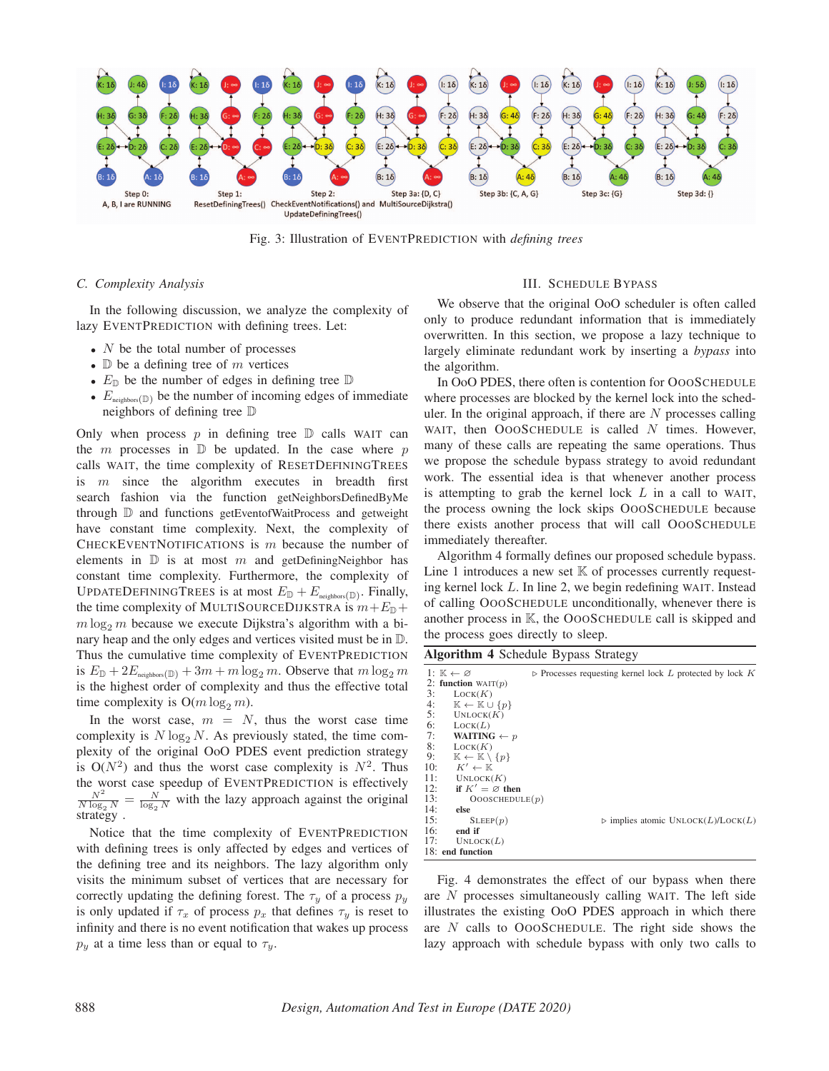

Fig. 3: Illustration of EVENTPREDICTION with *defining trees*

# *C. Complexity Analysis*

In the following discussion, we analyze the complexity of lazy EVENTPREDICTION with defining trees. Let:

- $N$  be the total number of processes
- $\n *D*\n be a defining tree of *m* vertices$
- $E_{\mathbb{D}}$  be the number of edges in defining tree  $\mathbb{D}$
- $E_{\text{neighbors}(\mathbb{D})}$  be the number of incoming edges of immediate neighbors of defining tree D

Only when process  $p$  in defining tree  $\mathbb D$  calls WAIT can the  $m$  processes in  $D$  be updated. In the case where  $p$ calls WAIT, the time complexity of RESETDEFININGTREES is  $m$  since the algorithm executes in breadth first search fashion via the function getNeighborsDefinedByMe through D and functions getEventofWaitProcess and getweight have constant time complexity. Next, the complexity of CHECKEVENTNOTIFICATIONS is  $m$  because the number of elements in  $\mathbb D$  is at most m and getDefiningNeighbor has constant time complexity. Furthermore, the complexity of UPDATEDEFININGTREES is at most  $E_{\mathbb{D}} + E_{\text{neighbors}(\mathbb{D})}$ . Finally, the time complexity of MULTISOURCEDIJKSTRA is  $m+E_{\mathbb{D}}+$  $m \log_2 m$  because we execute Dijkstra's algorithm with a binary heap and the only edges and vertices visited must be in D. Thus the cumulative time complexity of EVENTPREDICTION is  $E_{\mathbb{D}} + 2E_{\text{neighbors}(\mathbb{D})} + 3m + m \log_2 m$ . Observe that  $m \log_2 m$ is the highest order of complexity and thus the effective total time complexity is  $O(m \log_2 m)$ .

In the worst case,  $m = N$ , thus the worst case time complexity is  $N \log_2 N$ . As previously stated, the time complexity of the original OoO PDES event prediction strategy is  $O(N^2)$  and thus the worst case complexity is  $N^2$ . Thus the worst case speedup of EVENTPREDICTION is effectively  $\frac{N^2}{N \log_2 N} = \frac{N}{\log_2 N}$  with the lazy approach against the original strategy .

Notice that the time complexity of EVENTPREDICTION with defining trees is only affected by edges and vertices of the defining tree and its neighbors. The lazy algorithm only visits the minimum subset of vertices that are necessary for correctly updating the defining forest. The  $\tau_y$  of a process  $p_y$ is only updated if  $\tau_x$  of process  $p_x$  that defines  $\tau_y$  is reset to infinity and there is no event notification that wakes up process  $p_y$  at a time less than or equal to  $\tau_y$ .

## III. SCHEDULE BYPASS

We observe that the original OoO scheduler is often called only to produce redundant information that is immediately overwritten. In this section, we propose a lazy technique to largely eliminate redundant work by inserting a *bypass* into the algorithm.

In OoO PDES, there often is contention for OOOSCHEDULE where processes are blocked by the kernel lock into the scheduler. In the original approach, if there are  $N$  processes calling WAIT, then  $OOOS$ CHEDULE is called  $N$  times. However, many of these calls are repeating the same operations. Thus we propose the schedule bypass strategy to avoid redundant work. The essential idea is that whenever another process is attempting to grab the kernel lock  $L$  in a call to WAIT, the process owning the lock skips OOOSCHEDULE because there exists another process that will call OOOSCHEDULE immediately thereafter.

Algorithm 4 formally defines our proposed schedule bypass. Line 1 introduces a new set  $K$  of processes currently requesting kernel lock L. In line 2, we begin redefining WAIT. Instead of calling OOOSCHEDULE unconditionally, whenever there is another process in K, the OOOSCHEDULE call is skipped and the process goes directly to sleep.

| Algorithm 4 Schedule Bypass Strategy |  |  |
|--------------------------------------|--|--|
|--------------------------------------|--|--|

|     |                                                    | . . |  |                                                                         |  |  |
|-----|----------------------------------------------------|-----|--|-------------------------------------------------------------------------|--|--|
|     | 1: $\mathbb{K} \leftarrow \varnothing$             |     |  | $\triangleright$ Processes requesting kernel lock L protected by lock K |  |  |
|     | 2: function $WAIT(p)$                              |     |  |                                                                         |  |  |
| 3:  | LocK(K)                                            |     |  |                                                                         |  |  |
| 4:  | $\mathbb{K} \leftarrow \mathbb{K} \cup \{p\}$      |     |  |                                                                         |  |  |
| 5:  | UNLOCK(K)                                          |     |  |                                                                         |  |  |
| 6:  | LocK(L)                                            |     |  |                                                                         |  |  |
| 7:  | WAITING $\leftarrow p$                             |     |  |                                                                         |  |  |
| 8:  | LocK(K)                                            |     |  |                                                                         |  |  |
| 9:  | $\mathbb{K} \leftarrow \mathbb{K} \setminus \{p\}$ |     |  |                                                                         |  |  |
| 10: | $K' \leftarrow \mathbb{K}$                         |     |  |                                                                         |  |  |
| 11: | UNLOCK(K)                                          |     |  |                                                                         |  |  |
| 12: | if $K' = \emptyset$ then                           |     |  |                                                                         |  |  |
| 13: | OOOSCHEDULE $(p)$                                  |     |  |                                                                         |  |  |
| 14: | else                                               |     |  |                                                                         |  |  |
| 15: | SLEEP(p)                                           |     |  | $\triangleright$ implies atomic UNLOCK(L)/LOCK(L)                       |  |  |
| 16: | end if                                             |     |  |                                                                         |  |  |
| 17: | UNLOCK(L)                                          |     |  |                                                                         |  |  |
|     | 18: end function                                   |     |  |                                                                         |  |  |

Fig. 4 demonstrates the effect of our bypass when there are N processes simultaneously calling WAIT. The left side illustrates the existing OoO PDES approach in which there are N calls to OOOSCHEDULE. The right side shows the lazy approach with schedule bypass with only two calls to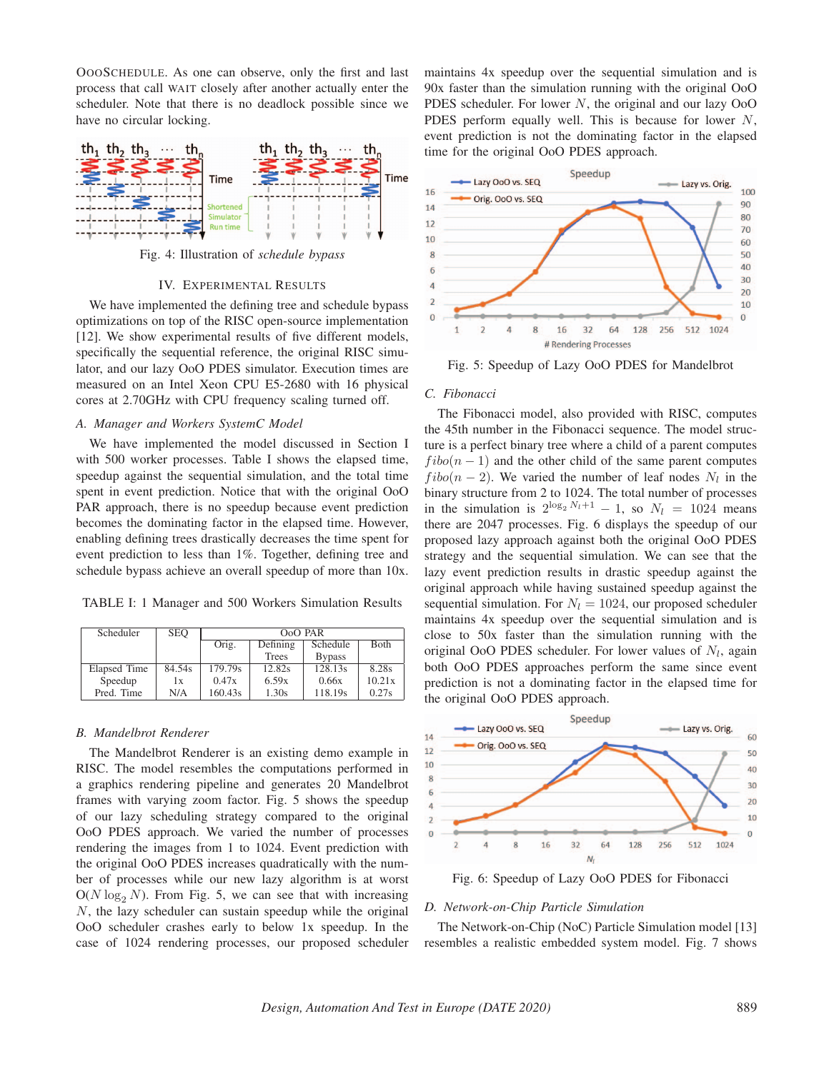OOOSCHEDULE. As one can observe, only the first and last process that call WAIT closely after another actually enter the scheduler. Note that there is no deadlock possible since we have no circular locking.



Fig. 4: Illustration of *schedule bypass*

## IV. EXPERIMENTAL RESULTS

We have implemented the defining tree and schedule bypass optimizations on top of the RISC open-source implementation [12]. We show experimental results of five different models, specifically the sequential reference, the original RISC simulator, and our lazy OoO PDES simulator. Execution times are measured on an Intel Xeon CPU E5-2680 with 16 physical cores at 2.70GHz with CPU frequency scaling turned off.

# *A. Manager and Workers SystemC Model*

We have implemented the model discussed in Section I with 500 worker processes. Table I shows the elapsed time, speedup against the sequential simulation, and the total time spent in event prediction. Notice that with the original OoO PAR approach, there is no speedup because event prediction becomes the dominating factor in the elapsed time. However, enabling defining trees drastically decreases the time spent for event prediction to less than 1%. Together, defining tree and schedule bypass achieve an overall speedup of more than 10x.

TABLE I: 1 Manager and 500 Workers Simulation Results

| Scheduler    | <b>SEO</b> | O <sub>o</sub> O PAR |          |               |        |  |
|--------------|------------|----------------------|----------|---------------|--------|--|
|              |            | Orig.                | Defining | Schedule      | Both   |  |
|              |            |                      | Trees    | <b>Bypass</b> |        |  |
| Elapsed Time | 84.54s     | 179.79s              | 12.82s   | 128.13s       | 8.28s  |  |
| Speedup      | 1x         | 0.47x                | 6.59x    | 0.66x         | 10.21x |  |
| Pred. Time   | N/A        | 160.43s              | 1.30s    | 118.19s       | 0.27s  |  |

## *B. Mandelbrot Renderer*

The Mandelbrot Renderer is an existing demo example in RISC. The model resembles the computations performed in a graphics rendering pipeline and generates 20 Mandelbrot frames with varying zoom factor. Fig. 5 shows the speedup of our lazy scheduling strategy compared to the original OoO PDES approach. We varied the number of processes rendering the images from 1 to 1024. Event prediction with the original OoO PDES increases quadratically with the number of processes while our new lazy algorithm is at worst  $O(N \log_2 N)$ . From Fig. 5, we can see that with increasing N, the lazy scheduler can sustain speedup while the original OoO scheduler crashes early to below 1x speedup. In the case of 1024 rendering processes, our proposed scheduler maintains 4x speedup over the sequential simulation and is 90x faster than the simulation running with the original OoO PDES scheduler. For lower N, the original and our lazy OoO PDES perform equally well. This is because for lower N, event prediction is not the dominating factor in the elapsed time for the original OoO PDES approach.



Fig. 5: Speedup of Lazy OoO PDES for Mandelbrot

### *C. Fibonacci*

The Fibonacci model, also provided with RISC, computes the 45th number in the Fibonacci sequence. The model structure is a perfect binary tree where a child of a parent computes  $fibo(n-1)$  and the other child of the same parent computes  $fibo(n-2)$ . We varied the number of leaf nodes  $N_l$  in the binary structure from 2 to 1024. The total number of processes in the simulation is  $2^{\log_2 N_l+1} - 1$ , so  $N_l = 1024$  means there are 2047 processes. Fig. 6 displays the speedup of our proposed lazy approach against both the original OoO PDES strategy and the sequential simulation. We can see that the lazy event prediction results in drastic speedup against the original approach while having sustained speedup against the sequential simulation. For  $N_l = 1024$ , our proposed scheduler maintains 4x speedup over the sequential simulation and is close to 50x faster than the simulation running with the original OoO PDES scheduler. For lower values of  $N_l$ , again both OoO PDES approaches perform the same since event prediction is not a dominating factor in the elapsed time for the original OoO PDES approach.



Fig. 6: Speedup of Lazy OoO PDES for Fibonacci

## *D. Network-on-Chip Particle Simulation*

The Network-on-Chip (NoC) Particle Simulation model [13] resembles a realistic embedded system model. Fig. 7 shows